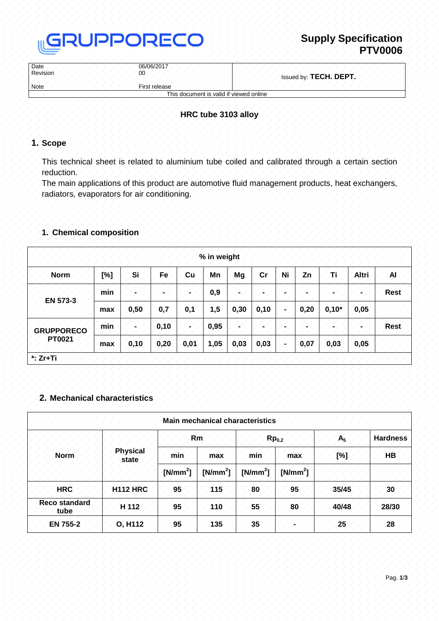

| Date<br>Revision | 06/06/2017<br>00                        | Issued by: TECH. DEPT. |  |  |
|------------------|-----------------------------------------|------------------------|--|--|
| <b>Note</b>      | First release                           |                        |  |  |
|                  | This document is valid if viewed online |                        |  |  |

# **HRC tube 3103 alloy**

# **1. Scope**

This technical sheet is related to aluminium tube coiled and calibrated through a certain section reduction.

The main applications of this product are automotive fluid management products, heat exchangers, radiators, evaporators for air conditioning.

# **1. Chemical composition**

| % in weight                 |     |      |      |                |      |      |      |                |      |         |       |             |
|-----------------------------|-----|------|------|----------------|------|------|------|----------------|------|---------|-------|-------------|
| <b>Norm</b>                 | [%] | Si   | Fe   | Cu             | Mn   | Mg   | cr   | Ni             | Zn   | Τi      | Altri | Αl          |
| EN 573-3                    | min |      |      |                | 0,9  |      |      | $\blacksquare$ |      |         |       | <b>Rest</b> |
|                             | max | 0,50 | 0,7  | 0,1            | 1,5  | 0,30 | 0,10 | -              | 0,20 | $0,10*$ | 0,05  |             |
| <b>GRUPPORECO</b><br>PT0021 | min |      | 0,10 | $\blacksquare$ | 0,95 |      |      |                |      |         |       | <b>Rest</b> |
|                             | max | 0,10 | 0,20 | 0,01           | 1,05 | 0,03 | 0,03 | ۰              | 0,07 | 0,03    | 0,05  |             |
| $*$ : Zr+Ti                 |     |      |      |                |      |      |      |                |      |         |       |             |

### **2. Mechanical characteristics**

|                              |                 |            | <b>Main mechanical characteristics</b> |                   |            |                |                 |
|------------------------------|-----------------|------------|----------------------------------------|-------------------|------------|----------------|-----------------|
| <b>Norm</b><br>state         |                 | Rm         |                                        | Rp <sub>0.2</sub> |            | A <sub>5</sub> | <b>Hardness</b> |
|                              | <b>Physical</b> | min        | max                                    | min               | max        | [%]            | <b>HB</b>       |
|                              |                 | $[N/mm^2]$ | $[N/mm^2]$                             | $[N/mm^2]$        | $[N/mm^2]$ |                |                 |
| <b>HRC</b>                   | <b>H112 HRC</b> | 95         | 115                                    | 80                | 95         | 35/45          | 30              |
| <b>Reco standard</b><br>tube | H 112           | 95         | 110                                    | 55                | 80         | 40/48          | 28/30           |
| <b>EN 755-2</b>              | O, H112         | 95         | 135                                    | 35                |            | 25             | 28              |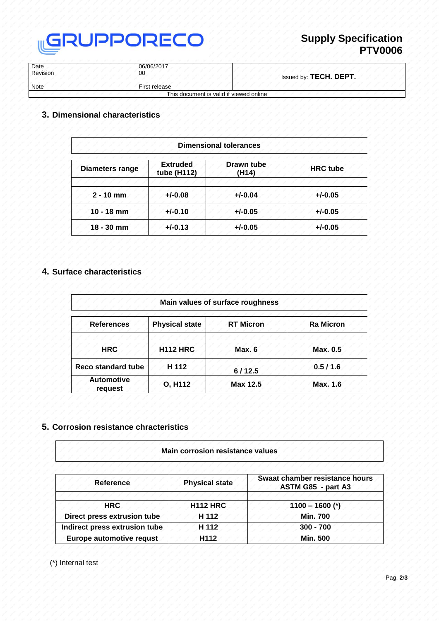

| Date<br>Revision | 06/06/2017<br>00                        | Issued by: TECH. DEPT. |
|------------------|-----------------------------------------|------------------------|
| <b>Note</b>      | First release                           |                        |
|                  | This document is valid if viewed online |                        |

### **3. Dimensional characteristics**

| <b>Dimensional tolerances</b> |                                |                     |                 |  |
|-------------------------------|--------------------------------|---------------------|-----------------|--|
| <b>Diameters range</b>        | <b>Extruded</b><br>tube (H112) | Drawn tube<br>(H14) | <b>HRC</b> tube |  |
| $2 - 10$ mm                   | $+/-0.08$                      | $+/-0.04$           | $+/-0.05$       |  |
| $10 - 18$ mm                  | $+/-0.10$                      | $+/-0.05$           | $+/-0.05$       |  |
| $18 - 30$ mm                  | $+/-0.13$                      | $+/-0.05$           | $+/-0.05$       |  |

#### **4. Surface characteristics**

| Main values of surface roughness |                       |                  |                  |  |  |
|----------------------------------|-----------------------|------------------|------------------|--|--|
| <b>References</b>                | <b>Physical state</b> | <b>RT Micron</b> | <b>Ra Micron</b> |  |  |
| <b>HRC</b>                       | <b>H112 HRC</b>       | <b>Max. 6</b>    | Max. 0.5         |  |  |
| <b>Reco standard tube</b>        | H 112                 | 6/12.5           | 0.5/1.6          |  |  |
| <b>Automotive</b><br>request     | O, H112               | Max 12.5         | Max. 1.6         |  |  |

#### **5. Corrosion resistance chracteristics**

#### **Main corrosion resistance values**

| <b>Reference</b>              | <b>Physical state</b> | Swaat chamber resistance hours<br>ASTM G85 - part A3 |  |  |
|-------------------------------|-----------------------|------------------------------------------------------|--|--|
|                               |                       |                                                      |  |  |
| <b>HRC</b>                    | <b>H112 HRC</b>       | $1100 - 1600$ (*)                                    |  |  |
| Direct press extrusion tube   | H 112                 | <b>Min. 700</b>                                      |  |  |
| Indirect press extrusion tube | H 112                 | $300 - 700$                                          |  |  |
| Europe automotive requst      | H <sub>112</sub>      | <b>Min. 500</b>                                      |  |  |